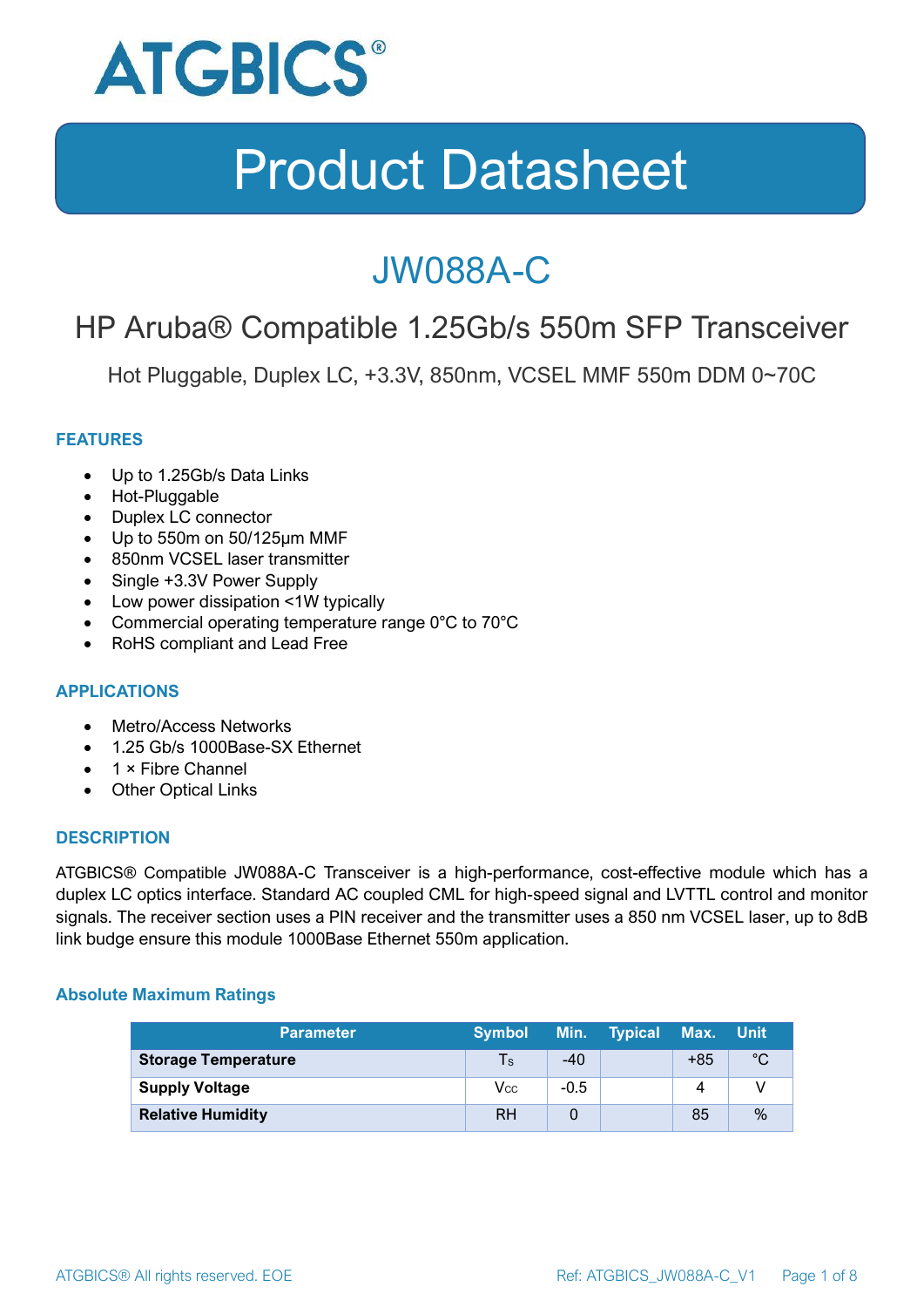

### JW088A-C

### HP Aruba® Compatible 1.25Gb/s 550m SFP Transceiver

Hot Pluggable, Duplex LC, +3.3V, 850nm, VCSEL MMF 550m DDM 0~70C

#### **FEATURES**

- Up to 1.25Gb/s Data Links
- Hot-Pluggable
- Duplex LC connector
- Up to 550m on 50/125μm MMF
- 850nm VCSEL laser transmitter
- Single +3.3V Power Supply
- Low power dissipation <1W typically
- Commercial operating temperature range 0°C to 70°C
- RoHS compliant and Lead Free

#### **APPLICATIONS**

- Metro/Access Networks
- 1.25 Gb/s 1000Base-SX Ethernet
- 1 × Fibre Channel
- Other Optical Links

#### **DESCRIPTION**

ATGBICS® Compatible JW088A-C Transceiver is a high-performance, cost-effective module which has a duplex LC optics interface. Standard AC coupled CML for high-speed signal and LVTTL control and monitor signals. The receiver section uses a PIN receiver and the transmitter uses a 850 nm VCSEL laser, up to 8dB link budge ensure this module 1000Base Ethernet 550m application.

#### **Absolute Maximum Ratings**

| <b>Parameter</b>           | <b>Symbol</b> |        | Min. Typical | Max. Unit |      |
|----------------------------|---------------|--------|--------------|-----------|------|
| <b>Storage Temperature</b> | Ts            | $-40$  |              | $+85$     | °C   |
| <b>Supply Voltage</b>      | Vcc           | $-0.5$ |              | 4         |      |
| <b>Relative Humidity</b>   | <b>RH</b>     |        |              | 85        | $\%$ |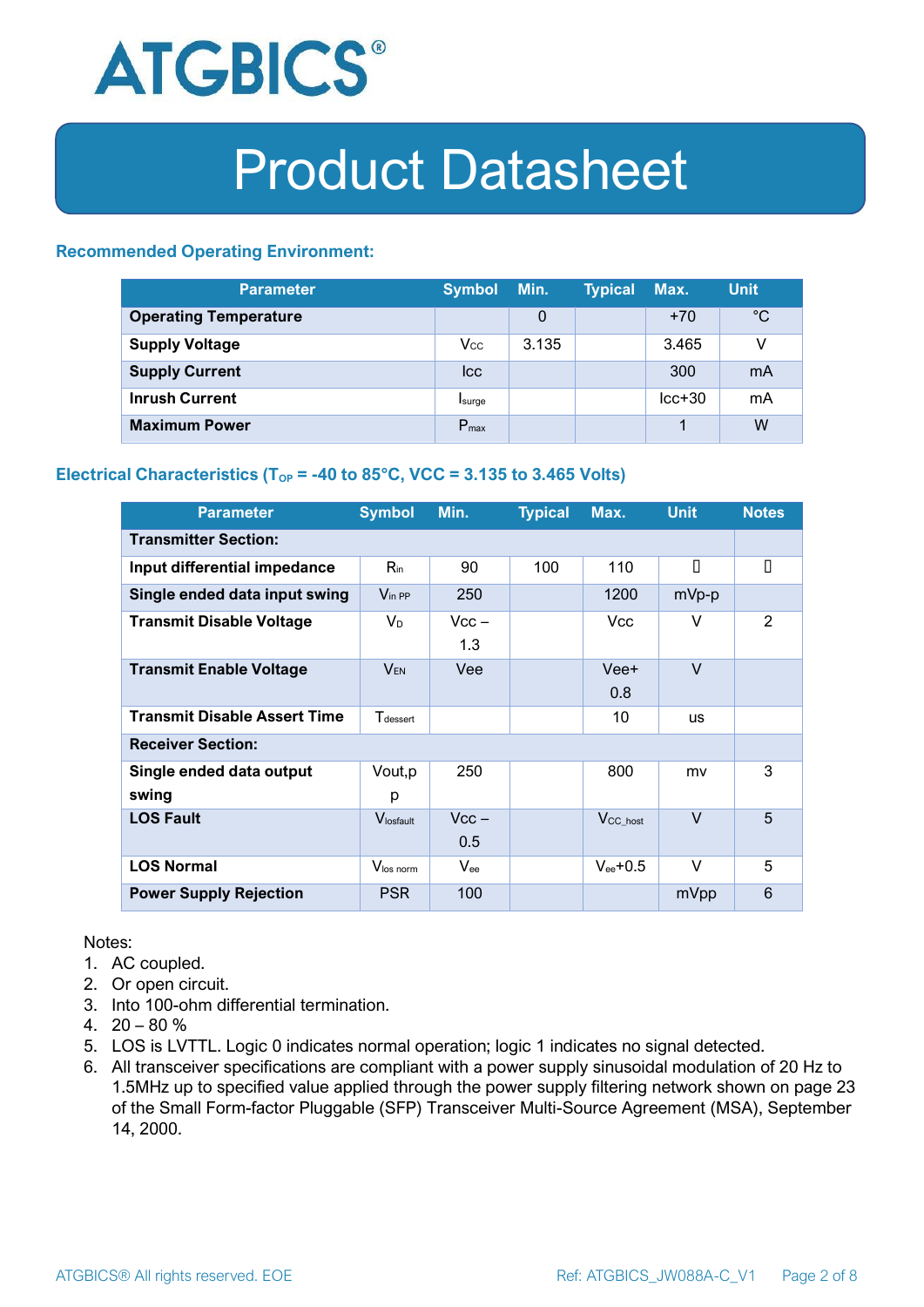

#### **Recommended Operating Environment:**

| <b>Parameter</b>             | <b>Symbol</b>    | Min.  | <b>Typical</b> | Max.     | <b>Unit</b> |
|------------------------------|------------------|-------|----------------|----------|-------------|
| <b>Operating Temperature</b> |                  | 0     |                | $+70$    | $^{\circ}C$ |
| <b>Supply Voltage</b>        | $V_{\rm CC}$     | 3.135 |                | 3.465    | v           |
| <b>Supply Current</b>        | <b>Icc</b>       |       |                | 300      | mA          |
| <b>Inrush Current</b>        | Isurge           |       |                | $lcc+30$ | mA          |
| <b>Maximum Power</b>         | $P_{\text{max}}$ |       |                |          | W           |

#### **Electrical Characteristics** ( $T_{OP}$  = -40 to 85°C, VCC = 3.135 to 3.465 Volts)

| <b>Parameter</b>                    | <b>Symbol</b>         | Min.           | <b>Typical</b> | Max.                 | <b>Unit</b> | <b>Notes</b> |  |
|-------------------------------------|-----------------------|----------------|----------------|----------------------|-------------|--------------|--|
| <b>Transmitter Section:</b>         |                       |                |                |                      |             |              |  |
| Input differential impedance        | $R_{\rm in}$          | 90             | 100            | 110                  | П           | П            |  |
| Single ended data input swing       | $V_{\text{in PP}}$    | 250            |                | 1200                 | mVp-p       |              |  |
| <b>Transmit Disable Voltage</b>     | $V_D$                 | $Vcc -$<br>1.3 |                | Vcc.                 | V           | 2            |  |
| <b>Transmit Enable Voltage</b>      | <b>VEN</b>            | Vee            |                | Vee+<br>0.8          | $\vee$      |              |  |
| <b>Transmit Disable Assert Time</b> | $T_{\rm dessert}$     |                |                | 10                   | <b>us</b>   |              |  |
| <b>Receiver Section:</b>            |                       |                |                |                      |             |              |  |
| Single ended data output<br>swing   | Vout, p<br>р          | 250            |                | 800                  | mv          | 3            |  |
| <b>LOS Fault</b>                    | $V_{\text{losfault}}$ | $Vcc -$<br>0.5 |                | V <sub>CC_host</sub> | $\vee$      | 5            |  |
| <b>LOS Normal</b>                   | Vlos norm             | $V_{ee}$       |                | $V_{ee}$ +0.5        | $\vee$      | 5            |  |
| <b>Power Supply Rejection</b>       | <b>PSR</b>            | 100            |                |                      | mVpp        | 6            |  |

Notes:

- 1. AC coupled.
- 2. Or open circuit.
- 3. Into 100-ohm differential termination.
- 4.  $20 80 \%$
- 5. LOS is LVTTL. Logic 0 indicates normal operation; logic 1 indicates no signal detected.
- 6. All transceiver specifications are compliant with a power supply sinusoidal modulation of 20 Hz to 1.5MHz up to specified value applied through the power supply filtering network shown on page 23 of the Small Form-factor Pluggable (SFP) Transceiver Multi-Source Agreement (MSA), September 14, 2000.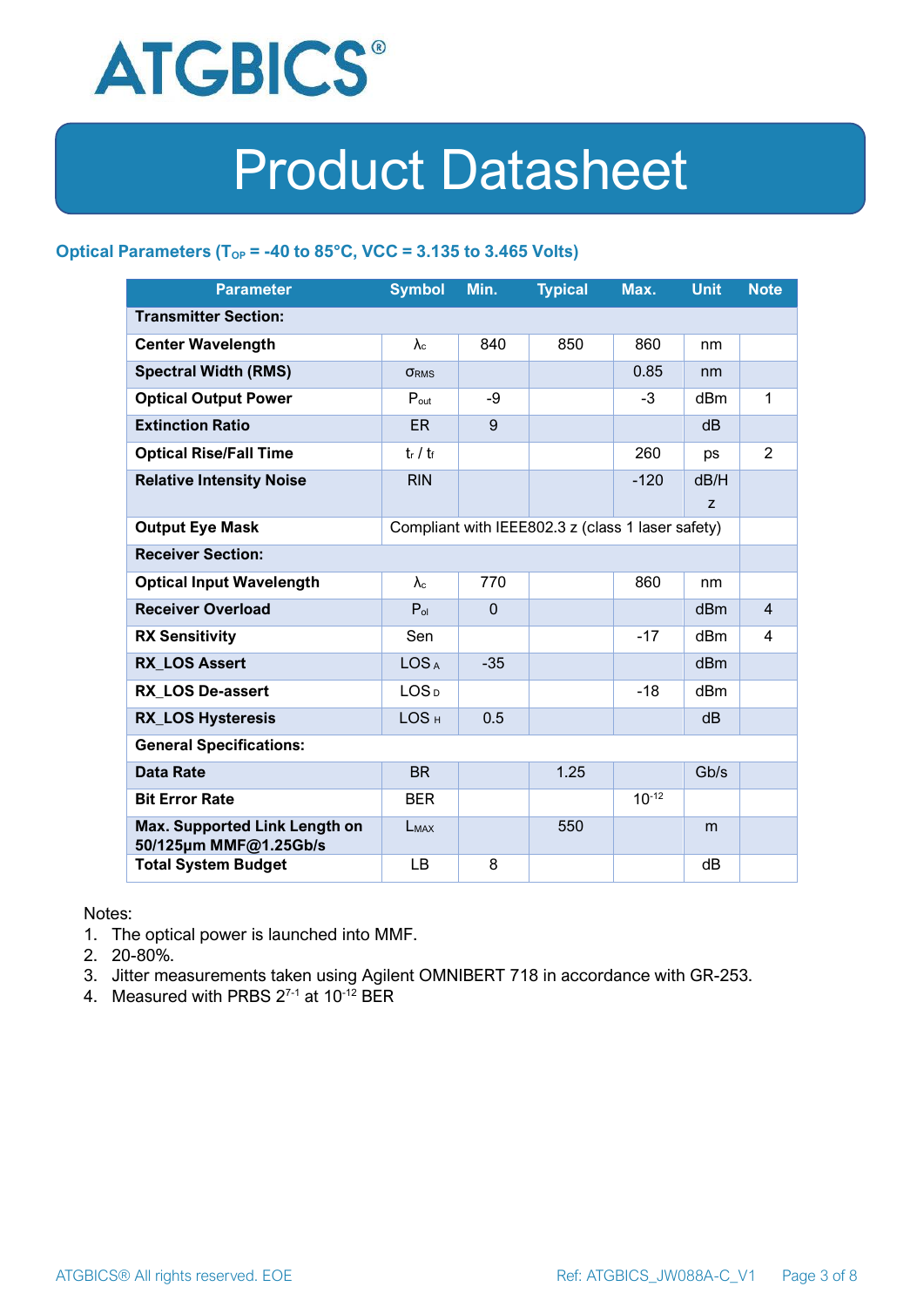

#### **Optical Parameters** ( $T_{OP}$  = -40 to 85°C, VCC = 3.135 to 3.465 Volts)

| <b>Parameter</b>                                                            | <b>Symbol</b>     | Min.         | <b>Typical</b> | Max.       | <b>Unit</b>     | <b>Note</b>    |
|-----------------------------------------------------------------------------|-------------------|--------------|----------------|------------|-----------------|----------------|
| <b>Transmitter Section:</b>                                                 |                   |              |                |            |                 |                |
| <b>Center Wavelength</b>                                                    | $\lambda_c$       | 840          | 850            | 860        | nm              |                |
| <b>Spectral Width (RMS)</b>                                                 | <b>ORMS</b>       |              |                | 0.85       | nm              |                |
| <b>Optical Output Power</b>                                                 | $P_{\text{out}}$  | -9           |                | $-3$       | dBm             | 1              |
| <b>Extinction Ratio</b>                                                     | <b>ER</b>         | 9            |                |            | dB              |                |
| <b>Optical Rise/Fall Time</b>                                               | $t_r / t_f$       |              |                | 260        | ps              | $\overline{2}$ |
| <b>Relative Intensity Noise</b>                                             | <b>RIN</b>        |              |                | $-120$     | dB/H            |                |
|                                                                             |                   |              |                |            | Z               |                |
| <b>Output Eye Mask</b><br>Compliant with IEEE802.3 z (class 1 laser safety) |                   |              |                |            |                 |                |
| <b>Receiver Section:</b>                                                    |                   |              |                |            |                 |                |
| <b>Optical Input Wavelength</b>                                             | $\lambda_{\rm c}$ | 770          |                | 860        | nm              |                |
| <b>Receiver Overload</b>                                                    | $P_{ol}$          | $\mathbf{0}$ |                |            | dBm             | $\overline{4}$ |
| <b>RX Sensitivity</b>                                                       | Sen               |              |                | $-17$      | dBm             | 4              |
| <b>RX LOS Assert</b>                                                        | LOS <sub>A</sub>  | $-35$        |                |            | d <sub>Bm</sub> |                |
| <b>RX LOS De-assert</b>                                                     | LOS <sub>D</sub>  |              |                | $-18$      | dB <sub>m</sub> |                |
| <b>RX_LOS Hysteresis</b>                                                    | LOS <sub>H</sub>  | 0.5          |                |            | d <sub>B</sub>  |                |
| <b>General Specifications:</b>                                              |                   |              |                |            |                 |                |
| <b>Data Rate</b>                                                            | <b>BR</b>         |              | 1.25           |            | Gb/s            |                |
| <b>Bit Error Rate</b>                                                       | <b>BER</b>        |              |                | $10^{-12}$ |                 |                |
| Max. Supported Link Length on<br>50/125µm MMF@1.25Gb/s                      | LMAX              |              | 550            |            | m               |                |
| <b>Total System Budget</b>                                                  | LB                | 8            |                |            | dB              |                |

Notes:

- 1. The optical power is launched into MMF.
- 2. 20-80%.
- 3. Jitter measurements taken using Agilent OMNIBERT 718 in accordance with GR-253.
- 4. Measured with PRBS  $2^{7-1}$  at 10<sup>-12</sup> BER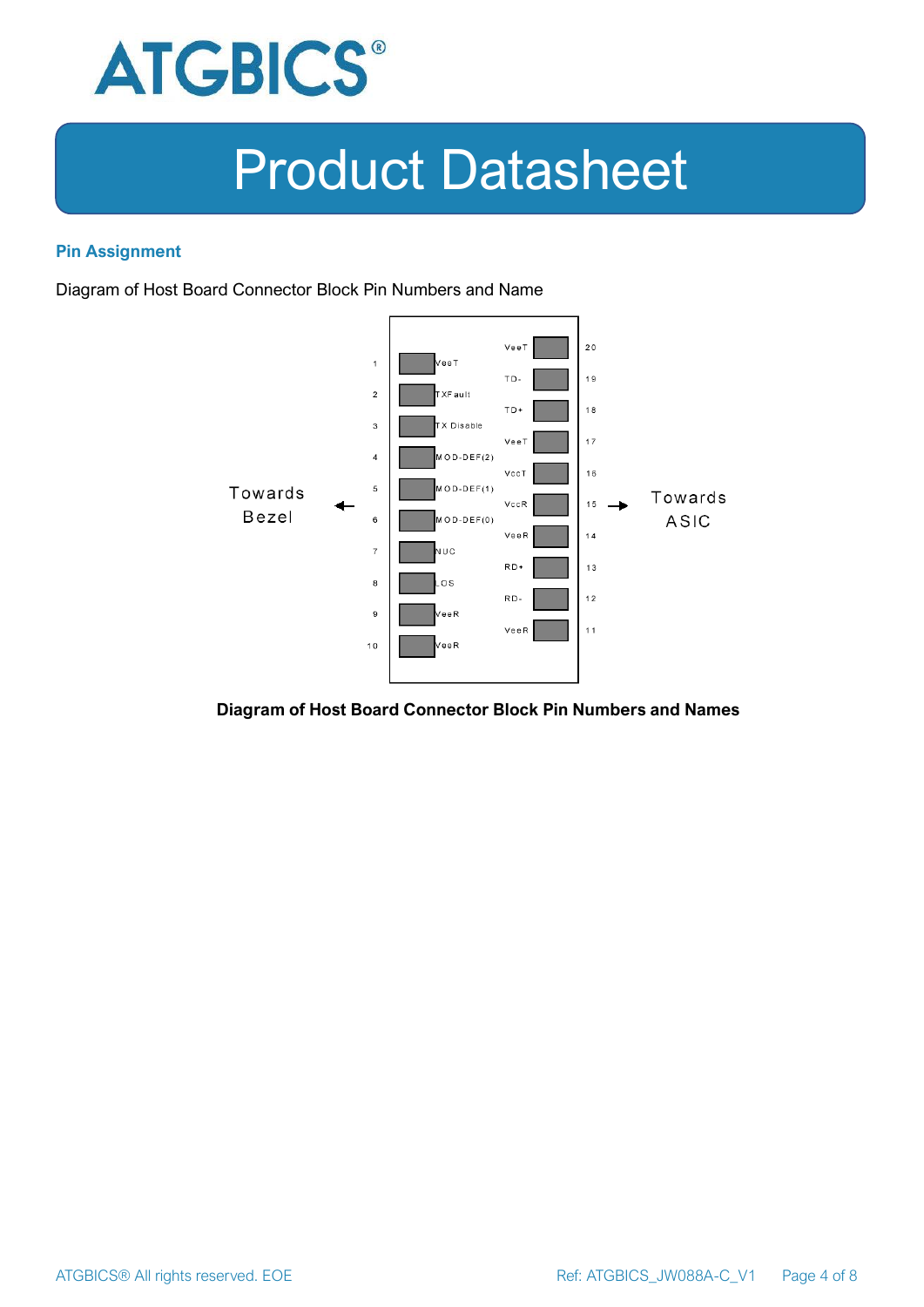

#### **Pin Assignment**

Diagram of Host Board Connector Block Pin Numbers and Name



#### **Diagram of Host Board Connector Block Pin Numbers and Names**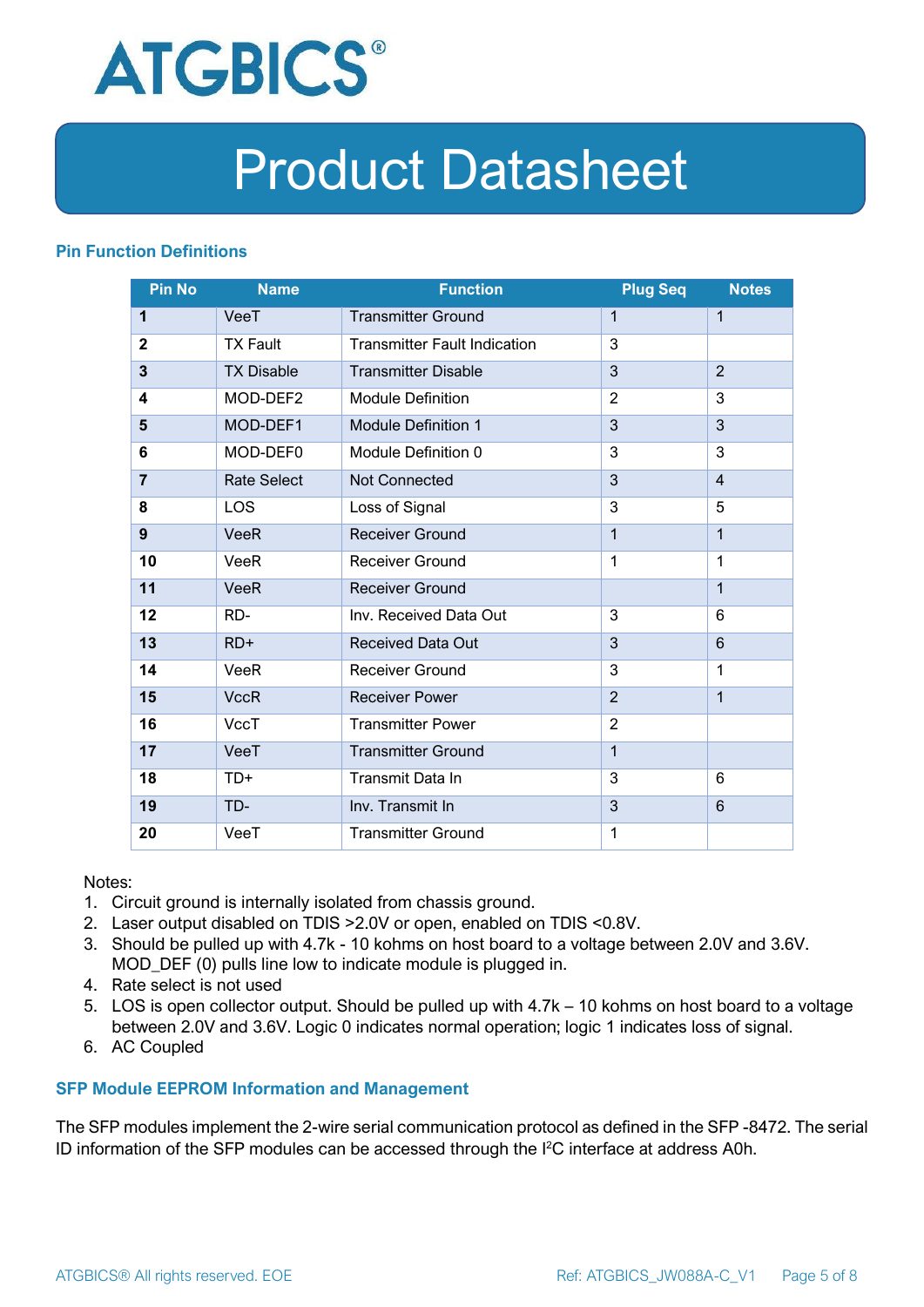

#### **Pin Function Definitions**

| <b>Pin No</b>  | <b>Name</b>        | <b>Function</b>                     | <b>Plug Seq</b> | <b>Notes</b>   |
|----------------|--------------------|-------------------------------------|-----------------|----------------|
| 1              | VeeT               | <b>Transmitter Ground</b>           | $\mathbf 1$     | $\mathbf 1$    |
| $\overline{2}$ | <b>TX Fault</b>    | <b>Transmitter Fault Indication</b> | 3               |                |
| 3              | <b>TX Disable</b>  | <b>Transmitter Disable</b>          | 3               | $\overline{2}$ |
| 4              | MOD-DEF2           | <b>Module Definition</b>            | $\overline{2}$  | 3              |
| 5              | MOD-DEF1           | <b>Module Definition 1</b>          | 3               | 3              |
| 6              | MOD-DEF0           | Module Definition 0                 | 3               | 3              |
| $\overline{7}$ | <b>Rate Select</b> | Not Connected                       | 3               | $\overline{4}$ |
| 8              | <b>LOS</b>         | Loss of Signal                      | 3               | 5              |
| 9              | <b>VeeR</b>        | <b>Receiver Ground</b>              | $\mathbf 1$     | $\mathbf{1}$   |
| 10             | VeeR               | Receiver Ground                     | $\mathbf{1}$    | 1              |
| 11             | <b>VeeR</b>        | <b>Receiver Ground</b>              |                 | $\mathbf{1}$   |
| 12             | RD-                | Inv. Received Data Out              | 3               | 6              |
| 13             | $RD+$              | <b>Received Data Out</b>            | 3               | $6\phantom{1}$ |
| 14             | <b>VeeR</b>        | <b>Receiver Ground</b>              | 3               | 1              |
| 15             | <b>VccR</b>        | <b>Receiver Power</b>               | $\overline{2}$  | $\mathbf{1}$   |
| 16             | <b>VccT</b>        | <b>Transmitter Power</b>            | $\overline{2}$  |                |
| 17             | VeeT               | <b>Transmitter Ground</b>           | $\mathbf{1}$    |                |
| 18             | $TD+$              | Transmit Data In                    | 3               | 6              |
| 19             | TD-                | Inv. Transmit In                    | 3               | $6\phantom{1}$ |
| 20             | VeeT               | <b>Transmitter Ground</b>           | 1               |                |

Notes:

- 1. Circuit ground is internally isolated from chassis ground.
- 2. Laser output disabled on TDIS >2.0V or open, enabled on TDIS <0.8V.
- 3. Should be pulled up with 4.7k 10 kohms on host board to a voltage between 2.0V and 3.6V. MOD\_DEF (0) pulls line low to indicate module is plugged in.
- 4. Rate select is not used
- 5. LOS is open collector output. Should be pulled up with 4.7k 10 kohms on host board to a voltage between 2.0V and 3.6V. Logic 0 indicates normal operation; logic 1 indicates loss of signal.
- 6. AC Coupled

#### **SFP Module EEPROM Information and Management**

The SFP modules implement the 2-wire serial communication protocol as defined in the SFP -8472. The serial ID information of the SFP modules can be accessed through the I2C interface at address A0h.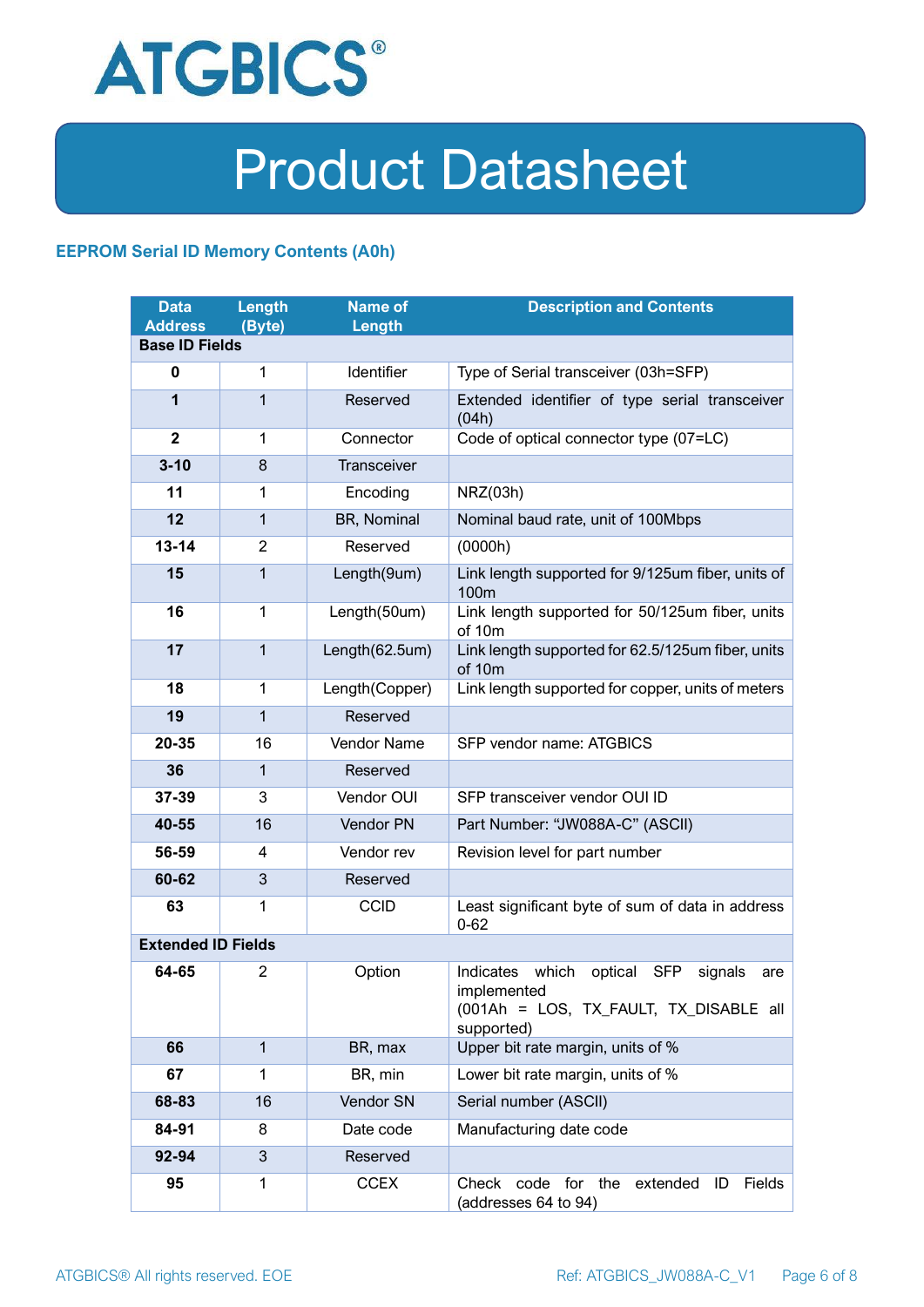

#### **EEPROM Serial ID Memory Contents (A0h)**

| <b>Data</b><br><b>Address</b> | <b>Length</b><br>(Byte) | <b>Name of</b><br>Length | <b>Description and Contents</b>                                                                                                   |  |
|-------------------------------|-------------------------|--------------------------|-----------------------------------------------------------------------------------------------------------------------------------|--|
| <b>Base ID Fields</b>         |                         |                          |                                                                                                                                   |  |
| $\mathbf 0$                   | 1                       | Identifier               | Type of Serial transceiver (03h=SFP)                                                                                              |  |
| 1                             | 1                       | Reserved                 | Extended identifier of type serial transceiver<br>(04h)                                                                           |  |
| $\mathbf{2}$                  | 1                       | Connector                | Code of optical connector type (07=LC)                                                                                            |  |
| $3 - 10$                      | 8                       | Transceiver              |                                                                                                                                   |  |
| 11                            | 1                       | Encoding                 | NRZ(03h)                                                                                                                          |  |
| 12                            | 1                       | BR, Nominal              | Nominal baud rate, unit of 100Mbps                                                                                                |  |
| $13 - 14$                     | $\overline{2}$          | Reserved                 | (0000h)                                                                                                                           |  |
| 15                            | 1                       | Length(9um)              | Link length supported for 9/125um fiber, units of<br>100m                                                                         |  |
| 16                            | $\mathbf 1$             | Length(50um)             | Link length supported for 50/125um fiber, units<br>of 10m                                                                         |  |
| 17                            | $\mathbf{1}$            | Length(62.5um)           | Link length supported for 62.5/125um fiber, units<br>of 10m                                                                       |  |
| 18                            | $\mathbf{1}$            | Length(Copper)           | Link length supported for copper, units of meters                                                                                 |  |
| 19                            | $\mathbf{1}$            | Reserved                 |                                                                                                                                   |  |
| 20-35                         | 16                      | <b>Vendor Name</b>       | SFP vendor name: ATGBICS                                                                                                          |  |
| 36                            | 1                       | Reserved                 |                                                                                                                                   |  |
| 37-39                         | 3                       | Vendor OUI               | SFP transceiver vendor OUI ID                                                                                                     |  |
| 40-55                         | 16                      | Vendor PN                | Part Number: "JW088A-C" (ASCII)                                                                                                   |  |
| 56-59                         | 4                       | Vendor rev               | Revision level for part number                                                                                                    |  |
| 60-62                         | 3                       | Reserved                 |                                                                                                                                   |  |
| 63                            | 1                       | <b>CCID</b>              | Least significant byte of sum of data in address<br>$0 - 62$                                                                      |  |
| <b>Extended ID Fields</b>     |                         |                          |                                                                                                                                   |  |
| 64-65                         | $\overline{2}$          | Option                   | Indicates which<br>optical<br><b>SFP</b><br>signals<br>are<br>implemented<br>(001Ah = LOS, TX_FAULT, TX_DISABLE all<br>supported) |  |
| 66                            | $\mathbf{1}$            | BR, max                  | Upper bit rate margin, units of %                                                                                                 |  |
| 67                            | 1                       | BR, min                  | Lower bit rate margin, units of %                                                                                                 |  |
| 68-83                         | 16                      | Vendor SN                | Serial number (ASCII)                                                                                                             |  |
| 84-91                         | 8                       | Date code                | Manufacturing date code                                                                                                           |  |
| 92-94                         | 3                       | Reserved                 |                                                                                                                                   |  |
| 95                            | 1                       | <b>CCEX</b>              | Check code for the<br>Fields<br>extended<br>ID<br>(addresses 64 to 94)                                                            |  |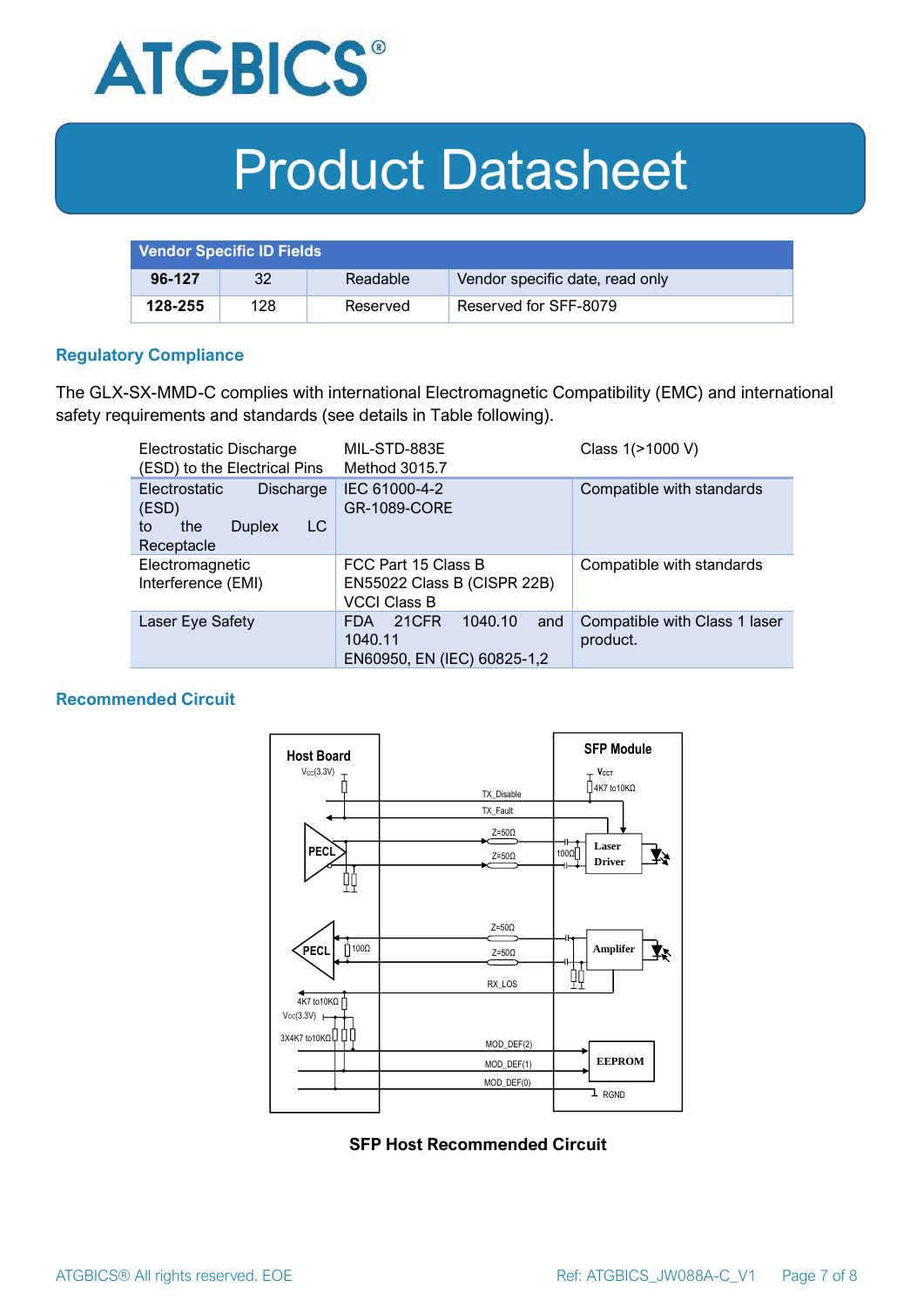

| <b>Vendor Specific ID Fields</b> |     |          |                                 |
|----------------------------------|-----|----------|---------------------------------|
| 96-127                           | 32  | Readable | Vendor specific date, read only |
| 128-255                          | 128 | Reserved | Reserved for SFF-8079           |

#### **Regulatory Compliance**

The GLX-SX-MMD-C complies with international Electromagnetic Compatibility (EMC) and international safety requirements and standards (see details in Table following).

| Electrostatic Discharge<br>(ESD) to the Electrical Pins                                      | MIL-STD-883E<br>Method 3015.7                                                   | Class 1(>1000 V)                          |  |
|----------------------------------------------------------------------------------------------|---------------------------------------------------------------------------------|-------------------------------------------|--|
| <b>Electrostatic</b><br>Discharge<br>(ESD)<br>LC<br>the<br><b>Duplex</b><br>to<br>Receptacle | IEC 61000-4-2<br><b>GR-1089-CORE</b>                                            | Compatible with standards                 |  |
| Electromagnetic<br>Interference (EMI)                                                        | FCC Part 15 Class B<br>EN55022 Class B (CISPR 22B)<br><b>VCCI Class B</b>       | Compatible with standards                 |  |
| Laser Eye Safety                                                                             | 1040.10<br>21CFR<br>and<br><b>FDA</b><br>1040.11<br>EN60950, EN (IEC) 60825-1,2 | Compatible with Class 1 laser<br>product. |  |

#### **Recommended Circuit**



**SFP Host Recommended Circuit**